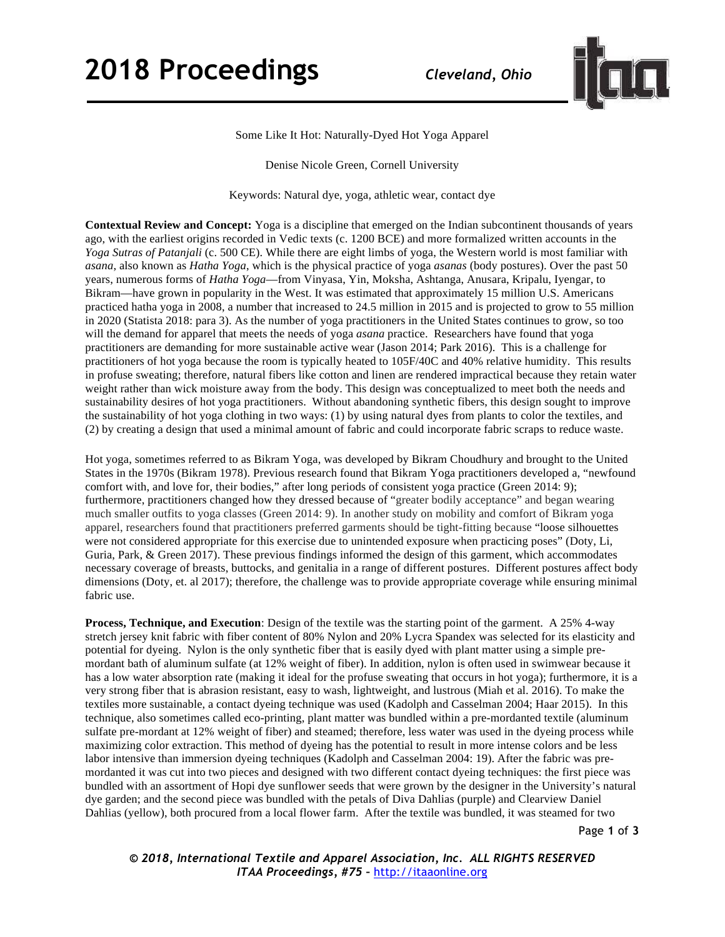## **2018 Proceedings** *Cleveland, Ohio*



Some Like It Hot: Naturally-Dyed Hot Yoga Apparel

Denise Nicole Green, Cornell University

Keywords: Natural dye, yoga, athletic wear, contact dye

**Contextual Review and Concept:** Yoga is a discipline that emerged on the Indian subcontinent thousands of years ago, with the earliest origins recorded in Vedic texts (c. 1200 BCE) and more formalized written accounts in the *Yoga Sutras of Patanjali* (c. 500 CE). While there are eight limbs of yoga, the Western world is most familiar with *asana*, also known as *Hatha Yoga*, which is the physical practice of yoga *asanas* (body postures). Over the past 50 years, numerous forms of *Hatha Yoga*—from Vinyasa, Yin, Moksha, Ashtanga, Anusara, Kripalu, Iyengar, to Bikram—have grown in popularity in the West. It was estimated that approximately 15 million U.S. Americans practiced hatha yoga in 2008, a number that increased to 24.5 million in 2015 and is projected to grow to 55 million in 2020 (Statista 2018: para 3). As the number of yoga practitioners in the United States continues to grow, so too will the demand for apparel that meets the needs of yoga *asana* practice. Researchers have found that yoga practitioners are demanding for more sustainable active wear (Jason 2014; Park 2016). This is a challenge for practitioners of hot yoga because the room is typically heated to 105F/40C and 40% relative humidity. This results in profuse sweating; therefore, natural fibers like cotton and linen are rendered impractical because they retain water weight rather than wick moisture away from the body. This design was conceptualized to meet both the needs and sustainability desires of hot yoga practitioners. Without abandoning synthetic fibers, this design sought to improve the sustainability of hot yoga clothing in two ways: (1) by using natural dyes from plants to color the textiles, and (2) by creating a design that used a minimal amount of fabric and could incorporate fabric scraps to reduce waste.

Hot yoga, sometimes referred to as Bikram Yoga, was developed by Bikram Choudhury and brought to the United States in the 1970s (Bikram 1978). Previous research found that Bikram Yoga practitioners developed a, "newfound comfort with, and love for, their bodies," after long periods of consistent yoga practice (Green 2014: 9); furthermore, practitioners changed how they dressed because of "greater bodily acceptance" and began wearing much smaller outfits to yoga classes (Green 2014: 9). In another study on mobility and comfort of Bikram yoga apparel, researchers found that practitioners preferred garments should be tight-fitting because "loose silhouettes were not considered appropriate for this exercise due to unintended exposure when practicing poses" (Doty, Li, Guria, Park, & Green 2017). These previous findings informed the design of this garment, which accommodates necessary coverage of breasts, buttocks, and genitalia in a range of different postures. Different postures affect body dimensions (Doty, et. al 2017); therefore, the challenge was to provide appropriate coverage while ensuring minimal fabric use.

**Process, Technique, and Execution**: Design of the textile was the starting point of the garment. A 25% 4-way stretch jersey knit fabric with fiber content of 80% Nylon and 20% Lycra Spandex was selected for its elasticity and potential for dyeing. Nylon is the only synthetic fiber that is easily dyed with plant matter using a simple premordant bath of aluminum sulfate (at 12% weight of fiber). In addition, nylon is often used in swimwear because it has a low water absorption rate (making it ideal for the profuse sweating that occurs in hot yoga); furthermore, it is a very strong fiber that is abrasion resistant, easy to wash, lightweight, and lustrous (Miah et al. 2016). To make the textiles more sustainable, a contact dyeing technique was used (Kadolph and Casselman 2004; Haar 2015). In this technique, also sometimes called eco-printing, plant matter was bundled within a pre-mordanted textile (aluminum sulfate pre-mordant at 12% weight of fiber) and steamed; therefore, less water was used in the dyeing process while maximizing color extraction. This method of dyeing has the potential to result in more intense colors and be less labor intensive than immersion dyeing techniques (Kadolph and Casselman 2004: 19). After the fabric was premordanted it was cut into two pieces and designed with two different contact dyeing techniques: the first piece was bundled with an assortment of Hopi dye sunflower seeds that were grown by the designer in the University's natural dye garden; and the second piece was bundled with the petals of Diva Dahlias (purple) and Clearview Daniel Dahlias (yellow), both procured from a local flower farm. After the textile was bundled, it was steamed for two

Page **1** of **3**

*© 2018, International Textile and Apparel Association, Inc. ALL RIGHTS RESERVED ITAA Proceedings, #75 –* http://itaaonline.org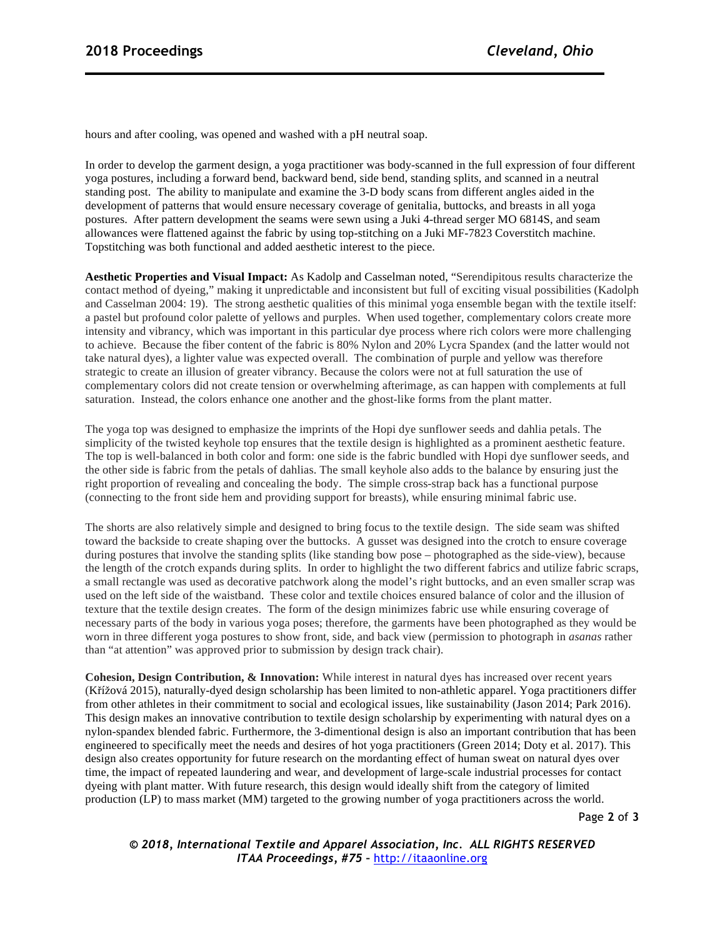hours and after cooling, was opened and washed with a pH neutral soap.

In order to develop the garment design, a yoga practitioner was body-scanned in the full expression of four different yoga postures, including a forward bend, backward bend, side bend, standing splits, and scanned in a neutral standing post. The ability to manipulate and examine the 3-D body scans from different angles aided in the development of patterns that would ensure necessary coverage of genitalia, buttocks, and breasts in all yoga postures. After pattern development the seams were sewn using a Juki 4-thread serger MO 6814S, and seam allowances were flattened against the fabric by using top-stitching on a Juki MF-7823 Coverstitch machine. Topstitching was both functional and added aesthetic interest to the piece.

**Aesthetic Properties and Visual Impact:** As Kadolp and Casselman noted, "Serendipitous results characterize the contact method of dyeing," making it unpredictable and inconsistent but full of exciting visual possibilities (Kadolph and Casselman 2004: 19). The strong aesthetic qualities of this minimal yoga ensemble began with the textile itself: a pastel but profound color palette of yellows and purples. When used together, complementary colors create more intensity and vibrancy, which was important in this particular dye process where rich colors were more challenging to achieve. Because the fiber content of the fabric is 80% Nylon and 20% Lycra Spandex (and the latter would not take natural dyes), a lighter value was expected overall. The combination of purple and yellow was therefore strategic to create an illusion of greater vibrancy. Because the colors were not at full saturation the use of complementary colors did not create tension or overwhelming afterimage, as can happen with complements at full saturation. Instead, the colors enhance one another and the ghost-like forms from the plant matter.

The yoga top was designed to emphasize the imprints of the Hopi dye sunflower seeds and dahlia petals. The simplicity of the twisted keyhole top ensures that the textile design is highlighted as a prominent aesthetic feature. The top is well-balanced in both color and form: one side is the fabric bundled with Hopi dye sunflower seeds, and the other side is fabric from the petals of dahlias. The small keyhole also adds to the balance by ensuring just the right proportion of revealing and concealing the body. The simple cross-strap back has a functional purpose (connecting to the front side hem and providing support for breasts), while ensuring minimal fabric use.

The shorts are also relatively simple and designed to bring focus to the textile design. The side seam was shifted toward the backside to create shaping over the buttocks. A gusset was designed into the crotch to ensure coverage during postures that involve the standing splits (like standing bow pose – photographed as the side-view), because the length of the crotch expands during splits. In order to highlight the two different fabrics and utilize fabric scraps, a small rectangle was used as decorative patchwork along the model's right buttocks, and an even smaller scrap was used on the left side of the waistband. These color and textile choices ensured balance of color and the illusion of texture that the textile design creates. The form of the design minimizes fabric use while ensuring coverage of necessary parts of the body in various yoga poses; therefore, the garments have been photographed as they would be worn in three different yoga postures to show front, side, and back view (permission to photograph in *asanas* rather than "at attention" was approved prior to submission by design track chair).

**Cohesion, Design Contribution, & Innovation:** While interest in natural dyes has increased over recent years (Křížová 2015), naturally-dyed design scholarship has been limited to non-athletic apparel. Yoga practitioners differ from other athletes in their commitment to social and ecological issues, like sustainability (Jason 2014; Park 2016). This design makes an innovative contribution to textile design scholarship by experimenting with natural dyes on a nylon-spandex blended fabric. Furthermore, the 3-dimentional design is also an important contribution that has been engineered to specifically meet the needs and desires of hot yoga practitioners (Green 2014; Doty et al. 2017). This design also creates opportunity for future research on the mordanting effect of human sweat on natural dyes over time, the impact of repeated laundering and wear, and development of large-scale industrial processes for contact dyeing with plant matter. With future research, this design would ideally shift from the category of limited production (LP) to mass market (MM) targeted to the growing number of yoga practitioners across the world.

Page **2** of **3**

*© 2018, International Textile and Apparel Association, Inc. ALL RIGHTS RESERVED ITAA Proceedings, #75 –* http://itaaonline.org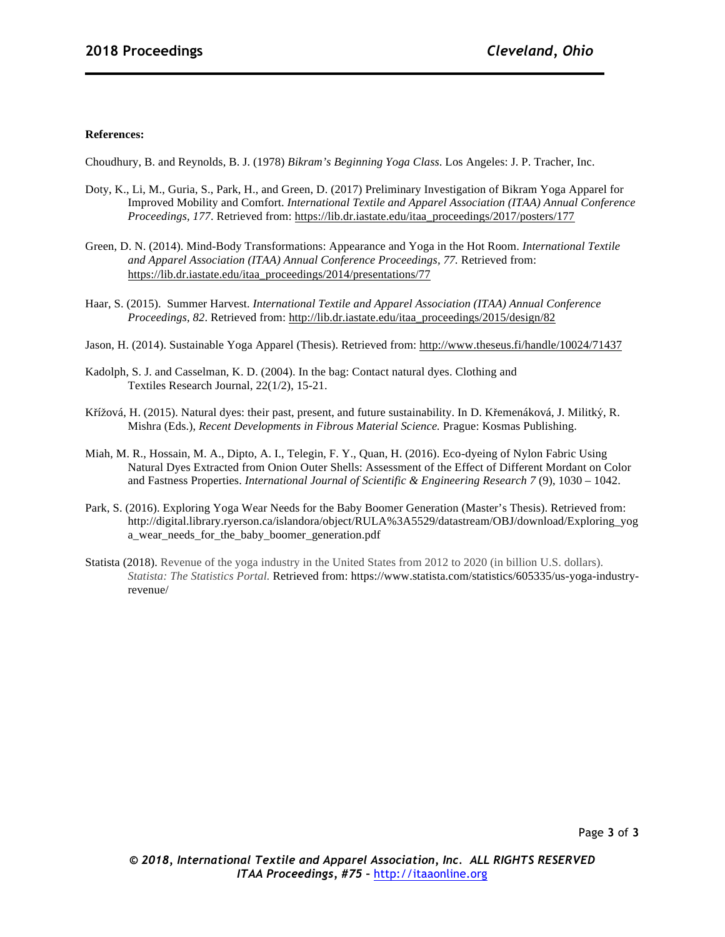## **References:**

Choudhury, B. and Reynolds, B. J. (1978) *Bikram's Beginning Yoga Class*. Los Angeles: J. P. Tracher, Inc.

- Doty, K., Li, M., Guria, S., Park, H., and Green, D. (2017) Preliminary Investigation of Bikram Yoga Apparel for Improved Mobility and Comfort. *International Textile and Apparel Association (ITAA) Annual Conference Proceedings, 177*. Retrieved from: https://lib.dr.iastate.edu/itaa\_proceedings/2017/posters/177
- Green, D. N. (2014). Mind-Body Transformations: Appearance and Yoga in the Hot Room. *International Textile and Apparel Association (ITAA) Annual Conference Proceedings, 77.* Retrieved from: https://lib.dr.iastate.edu/itaa\_proceedings/2014/presentations/77
- Haar, S. (2015). Summer Harvest. *International Textile and Apparel Association (ITAA) Annual Conference Proceedings, 82*. Retrieved from: http://lib.dr.iastate.edu/itaa\_proceedings/2015/design/82
- Jason, H. (2014). Sustainable Yoga Apparel (Thesis). Retrieved from: http://www.theseus.fi/handle/10024/71437
- Kadolph, S. J. and Casselman, K. D. (2004). In the bag: Contact natural dyes. Clothing and Textiles Research Journal, 22(1/2), 15-21.
- Křížová, H. (2015). Natural dyes: their past, present, and future sustainability. In D. Křemenáková, J. Militký, R. Mishra (Eds.), *Recent Developments in Fibrous Material Science.* Prague: Kosmas Publishing.
- Miah, M. R., Hossain, M. A., Dipto, A. I., Telegin, F. Y., Quan, H. (2016). Eco-dyeing of Nylon Fabric Using Natural Dyes Extracted from Onion Outer Shells: Assessment of the Effect of Different Mordant on Color and Fastness Properties. *International Journal of Scientific & Engineering Research 7* (9), 1030 – 1042.
- Park, S. (2016). Exploring Yoga Wear Needs for the Baby Boomer Generation (Master's Thesis). Retrieved from: http://digital.library.ryerson.ca/islandora/object/RULA%3A5529/datastream/OBJ/download/Exploring\_yog a wear needs for the baby boomer generation.pdf
- Statista (2018). Revenue of the yoga industry in the United States from 2012 to 2020 (in billion U.S. dollars). *Statista: The Statistics Portal.* Retrieved from: https://www.statista.com/statistics/605335/us-yoga-industryrevenue/